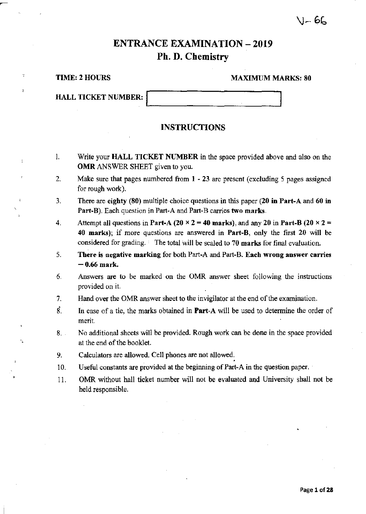# \I\_ 6L

# ENTRANCE EXAMINATION - 2019 Ph. D. Chemistry

,

>

## TIME: 2 HOURS MAXIMUM MARKS: 80

| <b>HALL TICKET NUMBER:</b> |  |  |  |
|----------------------------|--|--|--|
|                            |  |  |  |

## INSTRUCTIONS

- I. Write your HALL TICKET NUMBER in the space provided above and also on the OMR ANSWER SHEET given to you.
- 2. Make sure that pages numbered from 1 23 are present (excluding 5 pages assigned for rough wotk).
- 3. There are eighty (80) multiple choice questions in this paper (20 in Part-A and 60 in Part-B). Each question in Part-A and Part-B carries two marks.
- 4. Attempt all questions in Part-A (20  $\times$  2 = 40 marks), and any 20 in Part-B (20  $\times$  2 = 40 marks); if more questions are answered in Part-B, only the first 20 will be considered for grading. The total will be scaled to 70 marks for final evaluation.
- 5. There is negative marking for both Part-A and Part-B. Each wrong answer carries  $-0.66$  mark.
- 6. Answers are to be marked on the OMR answer sheet following the instructions provided on it.
- 7. Hand over the OMR answer sheet to the invigilator at the end of the examination.
- $\dot{g}$ . In case of a tie, the marks obtained in **Part-A** will be used to determine the order of merit.
- 8. No additional sheets will be provided. Rough work can be done in the space provided at the end of the booklet.
- 9.
- 10. Calculators are allowed. Cell phones are not allowed.<br>Useful constants are provided at the beginning of Part-A in the question paper.
- 11. OMR without hall ticket number will not be evaluated and University shall not be held responsible.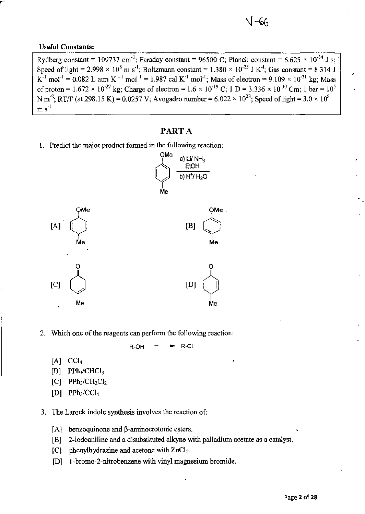### **Useful Constants:**

Rydberg constant = 109737 cm<sup>-1</sup>; Faraday constant = 96500 C; Planck constant = 6.625  $\times$  10<sup>-34</sup> J s; Speed of light = 2.998  $\times$  10<sup>8</sup> m s<sup>-1</sup>; Boltzmann constant = 1.380  $\times$  10<sup>-23</sup> J K<sup>-1</sup>; Gas constant = 8.314 J **K**<sup>-1</sup> mol<sup>-1</sup> = 0.082 L atm K <sup>-1</sup> mol<sup>-1</sup> = 1.987 cal K<sup>-1</sup> mol<sup>-1</sup>; Mass of electron =  $9.109 \times 10^{-31}$  kg; Mass of proton =  $1.672 \times 10^{-27}$  kg; Charge of electron =  $1.6 \times 10^{-19}$  C; 1 D =  $3.336 \times 10^{-30}$  Cm; 1 bar =  $10^5$ N m<sup>-2</sup>; RT/F (at 298.15 K) = 0.0257 V; Avogadro number = 6.022  $\times$  10<sup>23</sup>; Speed of light = 3.0  $\times$  10<sup>8</sup>  $m s<sup>-1</sup>$ 

J –66

## PART A

**1. Predict the major product formed in the following reaction:** 



**2. Which one** of the **reagents can perform the following reaction:** 

 $R-OH$   $\longrightarrow$   $R-CI$ 

- $[A]$  CC $I_4$
- $[B]$  PPh<sub>3</sub>/CHCl<sub>3</sub>
- $[C]$  PPh<sub>3</sub>/CH<sub>2</sub>Cl<sub>2</sub>
- $[D]$  PPh<sub>3</sub>/CCl<sub>4</sub>

**3. The Larock indole synthesis involves the reaction of:** 

- **[A] benzoquinone and p-arninocrotonic esters.**
- [B] 2-iodoaniline and a disubstituted alkyne with palladium acetate as a catalyst.
- [C] phenylhydrazine and acetone with ZnCl<sub>2</sub>.
- **[D] I-bromo-2-nitrobenzene with vinyl magnesium bromide.**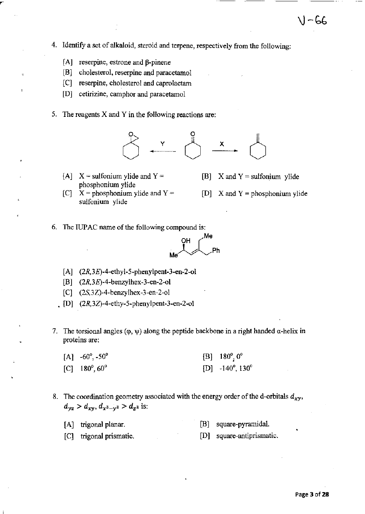- **[A] reserpine, estrone and p-pinene**
- **[B] cholesterol, reserpine and paracetamol**
- **[C] reserpine, cholesterol and caprolactam**
- **[D] cetirizine, camphor and paracetamol**
- **5. The reagents X and Y in the following reactions are:**



- [A]  $X =$  sulfonium ylide and  $Y =$ phosphonium ylide
- [B]  $X$  and  $Y =$  sulfonium ylide
- [C]  $X =$  phosphonium ylide and  $Y =$ **sulfonium ylide**
- [D]  $X$  and  $Y =$  phosphonium ylide

 $1 - 66$ 

**6. The IUPAC name** of the **following compound is:** 



- $[A]$  (2R,3E)-4-ethyl-5-phenylpent-3-en-2-ol
- [B] (2R,3E)-4-benzylhex-3-en-2-o1
- [C] (2S,3Z)-4-benzylhex-3-en-2-o1
- $[D]$  (2R,3Z)-4-ethy-5-phenylpent-3-en-2-ol
- 7. The torsional angles  $(\varphi, \psi)$  along the peptide backbone in a right handed  $\alpha$ -helix in **proteins are:** 
	- $[A]$  -60 $^{\circ}$ , -50 $^{\circ}$  $[C]$  180 $^{\circ}$ , 60 $^{\circ}$  $[B]$  180 $^{\circ}$ <sub>2</sub> 0<sup>o</sup> [D]  $-140^\circ, 130^\circ$
- 8. The coordination geometry associated with the energy order of the d-orbitals  $d_{xy}$ ,  $d_{yz} > d_{xy}, d_{x^2-y^2} > d_{z^2}$  is:
	- [A] trigonal planar. [B] square-pyramidal.
	- [C] trigonal prismatic. **[D] square-antiprismatic.**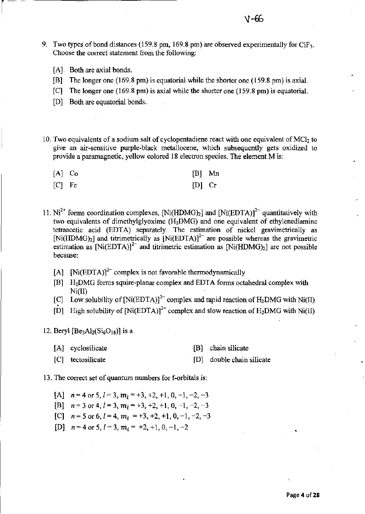- 9. Two types of bond distances (159.8 pm, 169.8 pm) are observed experimentally for ClF<sub>3</sub>. **Choose the correct statement from the following:** 
	- [A] Both are axial bonds.

 $\sqrt{2}$ 

- [B] The longer one (169.8 pm) is equatorial while the shorter one (159.8 pm) is axial.
- [C] The longer one (169.8 pm) is axial while the shorter one (159.8 pm) is equatorial.
- [D] Both are equatorial bonds.
- 10. Two equivalents of a sodium salt of cyclopentadiene react with one equivalent of MCl<sub>2</sub> to **give an air-sensitive purple-black meta11ocene, which subsequently gets oxidized to provide a paramagnetic, yellow colored 18 electron species. The element Mis:**

| $[A]$ Co |          | $[B]$ Mn |
|----------|----------|----------|
| [C] Fe   | $[D]$ Cr |          |

- 11.  $Ni^{2+}$  forms coordination complexes, [Ni(HDMG)<sub>2</sub>] and [Ni(EDTA)]<sup>2-</sup> quantitatively with **two equivalents of dimethylglyoxime (H2DMG) and one equivalent of ethylenediamine tetraacetic acid (EDTA) separately. The estimation of nickel gravimetrically as**  [Ni(HDMG)<sub>2</sub>] and titrimetrically as  $\text{[Ni(EDTA)]}^{2-}$  are possible whereas the gravimetric estimation as  $[Ni(EDTA)]^{2-}$  and titrimetric estimation as  $[Ni(HDMG)<sub>2</sub>]$  are not possible **because:** 
	- [A]  $[Ni(EDTA)]^{2-}$  complex is not favorable thermodynamically
	- [B] H2DMG forms squire-planar complex and EDTA forms octahedral complex with Ni(Il)
	- [C] Low solubility of  $\text{[Ni(EDTA)]}^{2-}$  complex and rapid reaction of H<sub>2</sub>DMG with Ni(II)
	- $\dot{[D]}$  High solubility of  $[Ni(EDTA)]^2$  complex and slow reaction of H<sub>2</sub>DMG with Ni(II)
- 12. Beryl  $[Be<sub>3</sub>Al<sub>2</sub>(Si<sub>6</sub>O<sub>18</sub>)]$  is a
	- [A] cyclosilicate [B] chain silicate
	- [C] tectosilicate [D] double chain silicate

**13. The COrrect set of quantum numbers for f-orbitals is:** 

- [A]  $n = 4$  or 5,  $l = 3$ ,  $m_l = +3, +2, +1, 0, -1, -2, -3$ [B]  $n=3$  or 4,  $l=3$ ,  $m_l = +3, +2, +1, 0, -1, -2, -3$ [C]  $n=5$  or 6,  $l=4$ ,  $m_l = +3, +2, +1, 0, -1, -2, -3$
- [D]  $n=4$  or 5,  $l=3$ ,  $m_l = +2, +1, 0, -1, -2$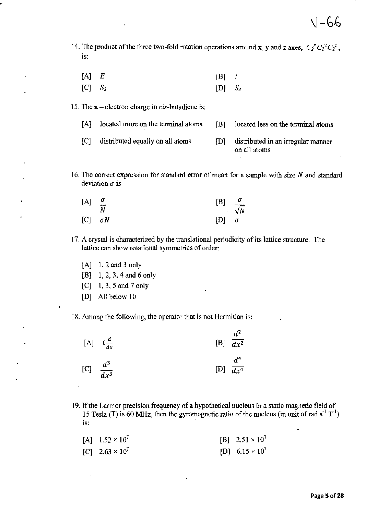- 14. The product of the three two-fold rotation operations around x, y and z axes,  $C_2^* C_2^* C_2^z$ , **is:** 
	- $[A]$  *E* [B] Ì
	- $[C]$   $S_2$  $[D]$   $S_4$

**15. The**  $\pi$  **-** electron charge in *cis*-butadiene is:

- **[A] located more on the tenninal atoms**  [B] located less on the terminal atoms
- [C] distributed equally on all atoms [D] distributed in an irregular manner **on all atoms**
- **16. The correct expression for standard error of mean for a sample with size N and standard**  deviation  $\sigma$  is

| $[A]$ $\frac{\sigma}{\sigma}$ |    | $[B] \quad \sigma$ |            |
|-------------------------------|----|--------------------|------------|
|                               | -N |                    | $\sqrt{N}$ |
| $[C]$ $\sigma N$              |    | $[D]$ $\sigma$     |            |

- **17. A crystal is characterized by the translational periodicity of its lattice structure. The lattice can show rotational symmetries of order:** 
	- [A] 1,2 and 3 only
	- [B] 1,2,3,4 and 6 only
	- $[C]$  1, 3, 5 and 7 only
	- [D] All below 10

**18. Among the following, the operator that is not Hennitian is:** 

|                        | [A] $i\frac{d}{dx}$ | $d^2$<br>[B] $\overline{dx^2}$ |
|------------------------|---------------------|--------------------------------|
| [C] $\frac{d^3}{dx^3}$ |                     | $d^4$<br>[D] $\overline{dx^4}$ |

**19. If the Larmor precision frequency of a hypothetical nucleus in a static magnetic field of**  15 Tesla (T) is 60 MHz, then the gyromagnetic ratio of the nucleus (in unit of rad  $s^{-1}T^{-1}$ ) **IS:** 

| [A] $1.52 \times 10^7$ | [B] $2.51 \times 10^7$ |
|------------------------|------------------------|
| [C] $2.63 \times 10^7$ | [D] $6.15 \times 10^7$ |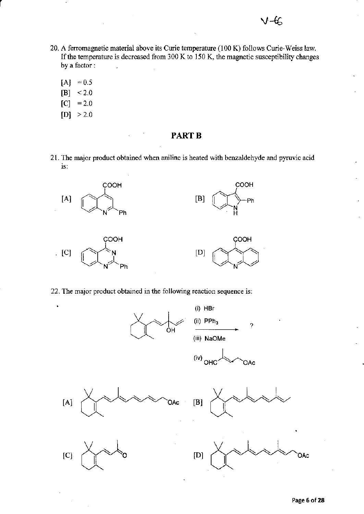- 20. A ferromagnetic material above its Curie temperature (100 K) follows Curie-Weiss law. If the temperature is decreased from  $300 \text{ K}$  to  $150 \text{ K}$ , the magnetic susceptibility changes by a factor:  $\overline{a}$ 
	- $[A] = 0.5$

r

- $[B] < 2.0$  $[C] = 2.0$
- $[D] > 2.0$

- PART<sub>B</sub>
- 21. The major product obtained when aniline is heated with benzaldehyde and pyruvic acid IS:



22. The major product obtained in the following reaction sequence is:

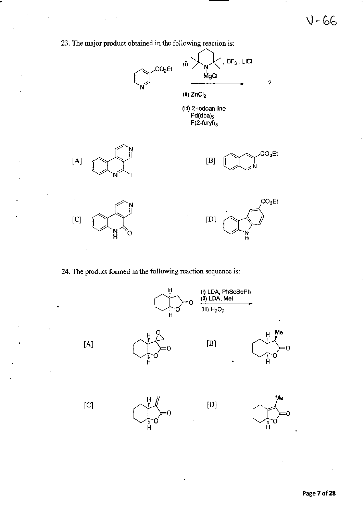$V - 66$ 

**23. The major product obtained in the following reaction is:** 

l,



**24. The product formed in the following reaction sequence is:** 

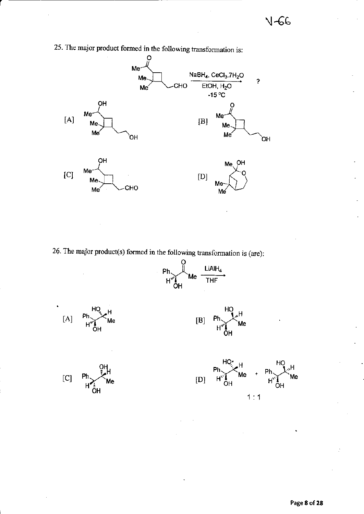

25. The major product formed in the following transformation is:





.<br>Me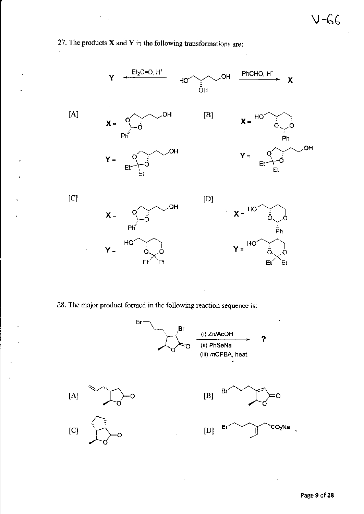



**.28. The major product fonned in the following reaction sequence is:** 

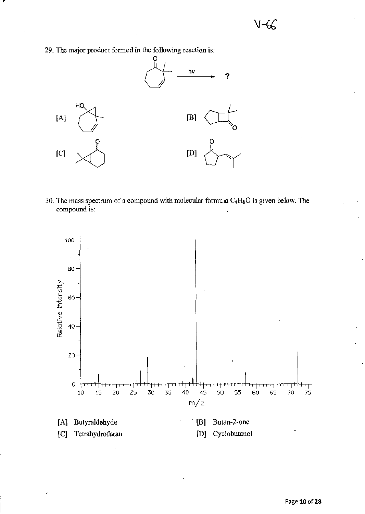**29. The major product formed in the following reaction is:** 



**30. The mass spectrum of a compound with molecular formula C4HsO is given below. The compound is:** 

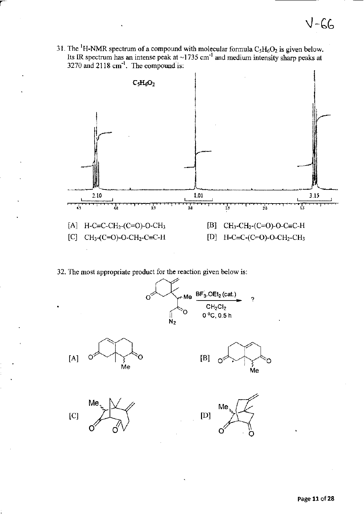31. The <sup>1</sup>H-NMR spectrum of a compound with molecular formula  $C_5H_6O_2$  is given below. Its IR spectrum has an intense peak at ~1735 cm<sup>-1</sup> and medium intensity sharp peaks at 3270 and 2118 cm<sup>-1</sup>. The compound is:



32. The most appropriate product for the reaction given below is:

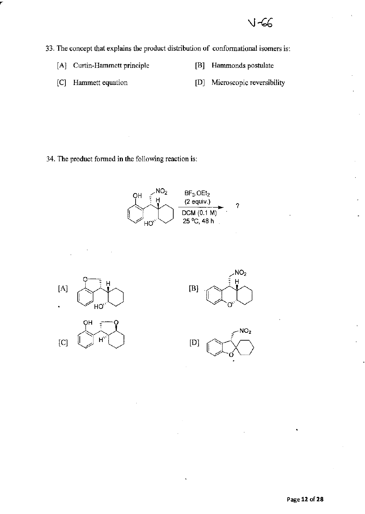V-66

**33. The concept that explains the product distribution of confonnational isomers is:** 

- [A] Curtin-Hammett principle [B] Hammonds postulate
	-

- 
- [C] Hammett equation **[D] Microscopic reversibility**

**34. The product formed in the following reaction is:** 

![](_page_11_Figure_7.jpeg)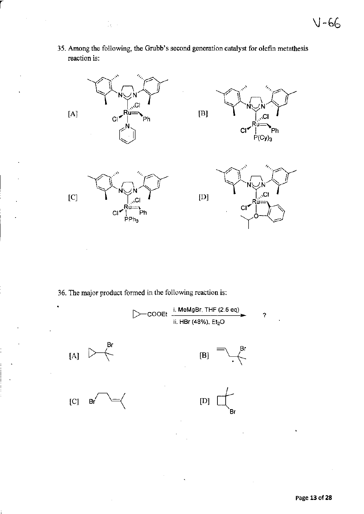**35. Among the following, the Grubb's second generation catalyst for olefin metathesis reaction is:** 

 $\frac{1}{2} \frac{1}{4} \rightarrow 0$ 

r

 $\bar{z}$ 

![](_page_12_Figure_2.jpeg)

**36. The major product formed in the following reaction is:** 

![](_page_12_Figure_4.jpeg)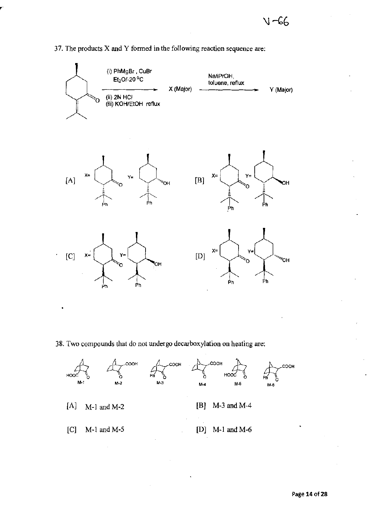![](_page_13_Figure_1.jpeg)

# **37. The products X and Y formed in the following reaction sequence are:**

**Page 14** of 28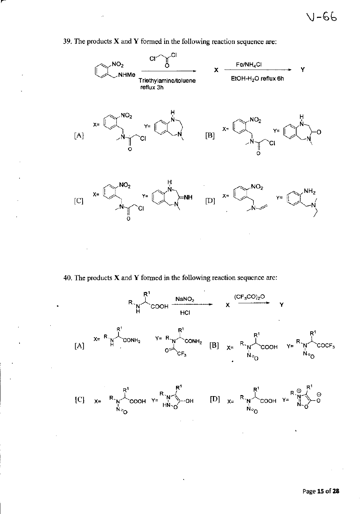![](_page_14_Figure_1.jpeg)

**39. The products X and Y formed in the following reaction sequence are:** 

**40. The products X and Y formed in the following reaction sequence are:** 

![](_page_14_Figure_4.jpeg)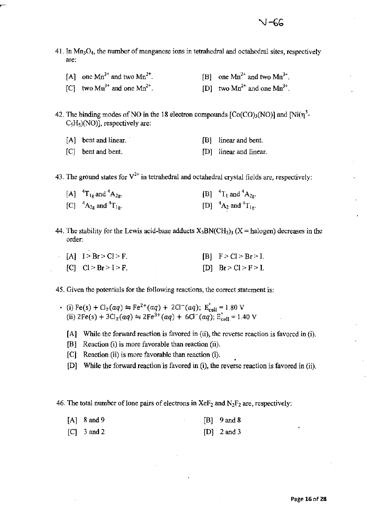- 41. In  $Mn<sub>3</sub>O<sub>4</sub>$ , the number of manganese ions in tetrahedral and octahedral sites, respectively are:
	- [A] one  $Mn^{3+}$  and two  $Mn^{2+}$ . [C] two  $Mn^{3+}$  and one  $Mn^{2+}$ . [B] one  $Mn^{2+}$  and two  $Mn^{3+}$ . [D] two  $Mn^{2+}$  and one  $Mn^{3+}$ .

42. The binding modes of NO in the 18 electron compounds  $[Co(CO)<sub>3</sub>(NO)]$  and  $[Ni(n^5 C_5H_5$ (NO)], respectively are:

- [A] bent and linear. [B] linear and bent.
- [C] bent and bent. [D] linear and linear.

43. The ground states for  $V^{2+}$  in tetrahedral and octahedral crystal fields are, respectively:

| [A] ${}^{4}T_{1g}$ and ${}^{4}A_{2g}$ . | [B] ${}^{4}T_{1}$ and ${}^{4}A_{2g}$ . |
|-----------------------------------------|----------------------------------------|
| [C] ${}^{4}A_{2g}$ and ${}^{4}T_{1g}$ . | [D] ${}^{4}A_2$ and ${}^{4}T_{1g}$ .   |

- 44. The stability for the Lewis acid-base adducts  $X_3BN(CH_3)_3$  (X = halogen) decreases in the order:
	- $[A]$   $I > Br > C l > F$ .  $|C|$   $|C|$  > Br > I > F.  $[B]$   $F > C l > B r > I$ .  $[D]$  Br > Cl > F > I.
- 45. Given the potentials for the following reactions, the correct statement is:
	- (i) Fe(s) + Cl<sub>2</sub>(aq)  $\leftrightharpoons$  Fe<sup>2+</sup>(aq) + 2Cl<sup>-</sup>(aq); E<sub>cell</sub> = 1.80 V (ii)  $2\text{Fe(s)} + 3\text{Cl}_2(aq) \Rightarrow 2\text{Fe}^{3+}(aq) + 6\text{Cl}^-(aq)$ ;  $E_{cell}^{\circ} = 1.40 \text{ V}$ 
		- [A] While the forward reaction is favored in (ii), the reverse reaction is favored in (i).
		- [B] Reaction (i) is more favorable than reaction (ii).
		- [C] Reaction (ii) is more favorable than reaction (i).
		- [D] While the forward reaction is favored in (i), the reverse reaction is favored in (ii).

46. The total number of lone pairs of electrons in  $XeF_2$  and  $N_2F_2$  are, respectively:

| $[A]$ 8 and 9 |  | $[B]$ 9 and 8 |
|---------------|--|---------------|
| $[C]$ 3 and 2 |  | $[D]$ 2 and 3 |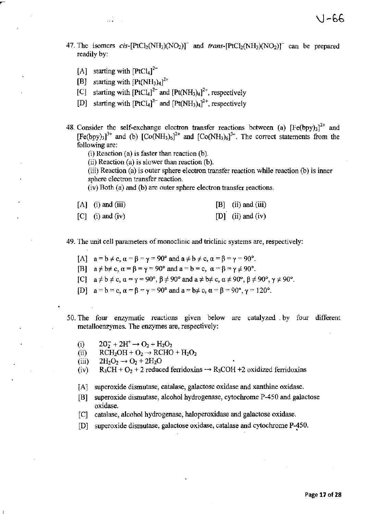- 47. The isomers cis- $[PtCl_2(NH_3)(NO_2)]$  and trans- $[PtCl_2(NH_3)(NO_2)]$  can be prepared readily by:
	- [A] starting with  $[PtCl<sub>4</sub>]<sup>2</sup>$
	- [B] starting with  $[Pt(NH_3)_4]^{2+}$
	- [C] starting with  $[PLC]_4]^{2-}$  and  $[Pt(NH_3)_4]^{2+}$ , respectively
	- [D] starting with  $[PtCl_4]^2$ <sup>-</sup> and  $[Pt(NH_3)_4]^2$ <sup>+</sup>, respectively
- 48. Consider the self-exchange electron transfer reactions between (a)  $[Fe(bpy)_3]^{2+}$  and  $[Fe(bpy)_3]^{3+}$  and (b)  $[Co(NH_3)_6]^{2+}$  and  $[Co(NH_3)_6]^{3+}$ . The correct statements from the **following are:** 
	- (i) Reaction (a) is faster than reaction (b),
	- **(ii) Reaction (a) is slower than reaction (b).**

**(iii) Reaction (a) is outer sphere electron transfer reaction while reaction (b) is inner sphere electron transfer reaction.** 

**(iv) Both (a) and (b) are outer sphere electron transfer reactions.** 

| $[A]$ (i) and (iii) | $[B]$ (ii) and (iii) |
|---------------------|----------------------|
| $[C]$ (i) and (iv)  | [D] (ii) and (iv)    |

**49. The unit cell parameters** of monoclinic **and triclinic systems are, respectively:** 

- $[A]$  a =  $b \neq c$ ,  $\alpha = \beta = \gamma = 90^{\circ}$  and  $a \neq b \neq c$ ,  $\alpha = \beta = \gamma = 90^{\circ}$ .
- [B]  $a \neq b \neq c$ ,  $\alpha = \beta = \gamma = 90^{\circ}$  and  $a = b = c$ ,  $\alpha = \beta = \gamma \neq 90^{\circ}$ .
- [C]  $a \neq b \neq c$ ,  $\alpha = \gamma = 90^{\circ}$ ,  $\beta \neq 90^{\circ}$  and  $a \neq b \neq c$ ,  $\alpha \neq 90^{\circ}$ ,  $\beta \neq 90^{\circ}$ ,  $\gamma \neq 90^{\circ}$ .
- [D]  $a = b = c$ ,  $\alpha = \beta = \gamma = 90^{\circ}$  and  $a = b \neq c$ ,  $\alpha = \beta = 90^{\circ}$ ,  $\gamma = 120^{\circ}$ .
- **50. The four enzymatic reactions given below are catalyzed. by four different metalloenzymes. The enzymes are, respectively:** 
	- (i)  $20_2^+ + 2H^+ \rightarrow O_2 + H_2O_2$
	- (ii)  $RCH_2OH + O_2 \rightarrow RCHO + H_2O_2$
	- (iii)  $2H_2O_2 \rightarrow O_2 + 2H_2O$
	- (iv)  $R_3CH + O_2 + 2$  reduced ferridoxins  $\rightarrow R_3COH + 2$  oxidized ferridoxins
	- **[A] superoxide dismutase, catalase, galactose oxidase and xanthine oxidase.**
	- [B] superoxide dismutase, alcohol hydrogenase, cytochrome P-450 and galactose **oxidase.**
	- [C] catalase, alcohol hydrogenase, haloperoxidase and galactose oxidase,
	- [D] superoxide dismutase, galactose oxidase, catalase and cytochrome P-4S0,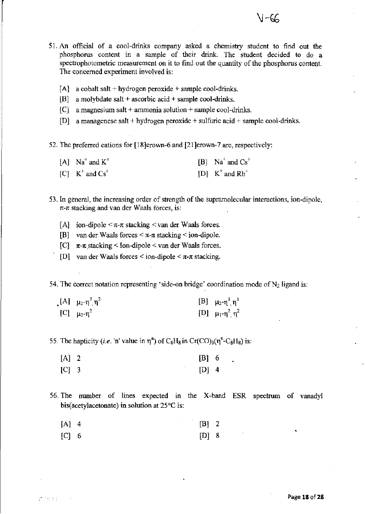- 51. An official of a cool-drinks company asked a chemistry student to find out the phosphorus content in a sample of their drink. The student decided to do a spectrophotometric measurement on it to find out the quantity of the phosphorus content. The concerned experiment involved is:
	- $[A]$  a cobalt salt + hydrogen peroxide + sample cool-drinks.
	- [B1 a molybdate salt + ascorbic acid + sample cool-drinks.
	- [C] a magnesiwn salt + ammonia solution + sample cool-drinks.
	- [D] a managenese salt + hydrogen peroxide + sulfuric acid + sample cool-drinks.

52. The preferred cations for [18]crown-6 and [21]crown-7 are, respectively:

| $[A]$ Na <sup>+</sup> and K <sup>+</sup> | [B] $Na^+$ and $Cs^+$ |
|------------------------------------------|-----------------------|
| [C] $K^+$ and $Cs^+$                     | [D] $K^+$ and $Rb^+$  |

- 53. In general, the increasing order of strength of the supramolecular interactions, ion-dipole,  $\pi$ - $\pi$  stacking and van der Waals forces, is:
	- [A] ion-dipole  $\leq \pi$ - $\pi$  stacking  $\leq$  van der Waals forces.
	- [B] van der Waals forces  $\leq \pi-\pi$  stacking  $\leq$  ion-dipole.
	- [C]  $\pi$ - $\pi$  stacking < Ion-dipole < van der Waals forces.
	- [D] van der Waals forces  $\le$  ion-dipole  $\le \pi$ - $\pi$  stacking.

54. The correct notation representing 'side-on bridge' coordination mode of  $N_2$  ligand is:

| [A] $\mu_2 - \eta^2 \eta^2$ | [B] $\mu_2$ -η <sup>1</sup> , η <sup>1</sup> |
|-----------------------------|----------------------------------------------|
| [C] $\mu_2 - \eta^2$        | [D] $\mu_1 \cdot \eta^2$ , $\eta^2$          |

55. The hapticity *(i.e.* 'n' value in  $\eta^{n}$ ) of C<sub>8</sub>H<sub>8</sub> in Cr(CO<sub>)3</sub>( $\eta^{n}$ -C<sub>8</sub>H<sub>8</sub>) is:

- $[A]$  2 [B] 6  $[C]$  3 [D] 4
- 56, The number of lines expected in the X-band ESR spectrum of vanadyl bis(acetylacetonate) in solution at 25°C is:

| $[A]$ 4 |  | $[B]$ 2 |  |
|---------|--|---------|--|
| [C] 6   |  | $[D]$ 8 |  |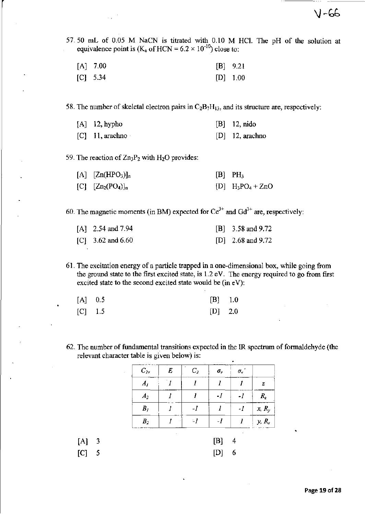57.50 mL of 0.05 M NaCN is titrated with 0.10 M HCl. The pH of the solution at **equivalence point is (K<sub>a</sub> of HCN =**  $6.2 \times 10^{-10}$ **) close to:** 

| $[A]$ 7.00 | $[B]$ 9.21 |
|------------|------------|
| $[C]$ 5.34 | $[D]$ 1.00 |

58. The number of skeletal electron pairs in  $C_2B_7H_{13}$ , and its structure are, respectively:

| $[A]$ 12, hypho   | $[B]$ 12, nido    |
|-------------------|-------------------|
| $[C]$ 11, arachno | $[D]$ 12, arachno |

59. The reaction of Zn<sub>3</sub>P<sub>2</sub> with H<sub>2</sub>O provides:

| $[A]$ $[Zn(HPO3)]_n$   | $[B]$ PH <sub>3</sub>                      |
|------------------------|--------------------------------------------|
| $[C]$ $[Zn_2(PO_4)]_n$ | $[D]$ H <sub>3</sub> PO <sub>4</sub> + ZnO |

60. The magnetic moments (in BM) expected for  $Ce^{3+}$  and  $Gd^{3+}$  are, respectively:

| [A] $2.54$ and $7.94$ | $[B]$ 3.58 and 9.72   |
|-----------------------|-----------------------|
| [C] $3.62$ and $6.60$ | [D] $2.68$ and $9.72$ |

**61. The excitation energy of a particle trapped in a one-dimensional box, while going from**  the ground state to the first excited state, is 1.2 eV. The energy required to go from first **excited state to the second excited state would be (in eV):** 

| $[A]$ 0.5 |  | $[B]$ 1.0 |
|-----------|--|-----------|
| $[C]$ 1.5 |  | $[D]$ 2.0 |

[A] 3  $[C]$  5

62. The number of fundamental transitions expected in the 1R spectrum of formaldehyde (the **relevant character table is given below) is:** 

| $C_{2v}$           | E | C <sub>2</sub> | $\sigma_{\rm v}$ | $\sigma_{\rm v}$ ' |          |
|--------------------|---|----------------|------------------|--------------------|----------|
| $A_I$              |   |                |                  |                    | z        |
| A <sub>2</sub>     |   |                | -1               | -1                 | $R_{z}$  |
| $\boldsymbol{B}_I$ |   |                |                  | $\cdot$ l          | $x, R_y$ |
| B <sub>2</sub>     |   | $-1$           | $-I$             | 1                  | $y, R_x$ |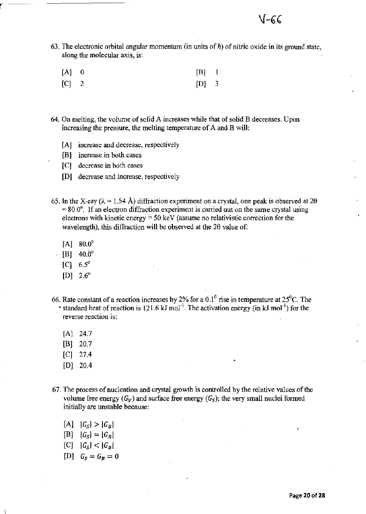63. The electronic orbital angular momentum (in units of  $\hbar$ ) of nitric oxide in its ground state, along the molecular axis, is:

| $[A]$ 0 | $[B]$ 1 |  |
|---------|---------|--|
| $[C]$ 2 | $[D]$ 3 |  |

- 64. On melting, the volume of solid A increases while that of solid B decreases. Upon increasing the pressure, the melting temperature of A and B will:
	- [A] increase and decrease, respectively
	- [B] increase in both cases
	- [CJ decrease in both cases
	- [D] decrease and increase, respectively
- 65. In the X-ray ( $\lambda = 1.54$  Å) diffraction experiment on a crystal, one peak is observed at 20  $=80.0^{\circ}$ . If an electron diffraction experiment is carried out on the same crystal using electrons with kinetic energy = 50 keY (assume no relativistic correction for the wavelength), this diffraction will be observed at the 29 value of:
	- $[A] 80.0^{\circ}$

r--

- $[B]$  40.0°
- $[C] 6.5^{\circ}$
- $[D]$  2.6<sup>o</sup>
- 66. Rate constant of a reaction increases by 2% for a 0.1<sup>0</sup> rise in temperature at 25<sup>0</sup>C. The • standard heat of reaction is  $121.6 \text{ kJ mol}^{-1}$ . The activation energy (in kJ mol<sup>-1</sup>) for the reverse reaction is:
	- $[A]$  24.7
	- [BJ 20.7
	- [C] 27.4
	- [DJ 20.4
- 67. The process of nucleation and crystal growth is controlled by the relative values of the volume free energy  $(G_V)$  and surface free energy  $(G_S)$ ; the very small nuclei formed initially are unstable because:
	- $[A] |G_{S}| > |G_{B}|$
	- $[B] |G_S| = |G_B|$
	- $[C]$   $|G_s| < |G_B|$
	- [D]  $G_S = G_B = 0$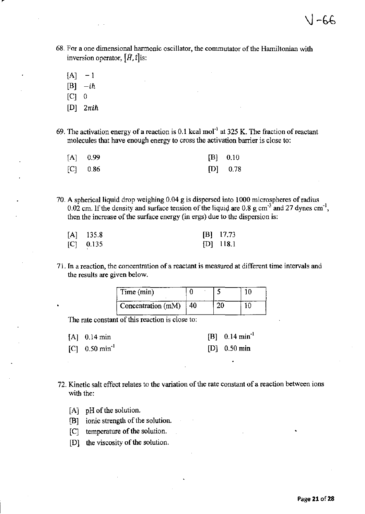- **68. For a one dimensional harmonic oscillator, the commutator** of the **Hamiltonian with**  inversion operator,  $[\hat{H}, \hat{t}]$  is:
	- $[A]$  1  $[B]$   $-i\hbar$  $[ $\overline{C}$ ] 0$ [D] *2nih*
- **69. The activation energy ofa reaction is 0.1 kcal mor<sup>l</sup>at 325 K. The fraction** of reactant **molecules that have enough energy to cross the activation barrier is close to:**

| $[A]$ 0.99 | $[B]$ 0.10 |
|------------|------------|
| $[C]$ 0.86 | $[D]$ 0.78 |

70. A spherica1liquid drop weighing 0.04 g is dispersed into 1000 microspheres of radius 0.02 cm. If the density and surface tension of the liquid are 0.8 g cm<sup>-3</sup> and 27 dynes  $cm^{-1}$ , **then the increase of the surface energy (in ergs) due to the dispersion is:** 

| $[A]$ 135.8 | $[B]$ 17.73 |
|-------------|-------------|
| $[C]$ 0.135 | $[D]$ 118.1 |

**71. In a reaction, the concentration of a reactant is measured at different time intervals and the results are given below.** 

| Time (min)         |  |  |
|--------------------|--|--|
| Concentration (mM) |  |  |

The rate constant of this reaction is close to:

- [A] 0.14 min [C] 0.50 min<sup>-1</sup> [B] 0.14 min'! [D] 0.50 min
- **72. Kinetic salt effect relates to the variation of the rate constant of a reaction between ions**  with the:
	- [A] pH of the solution.
	- [B] ionic strength of the solution.
	- [C] temperature of the solution.
	- [D] the viscosity of the solution.

 $\sqrt{-66}$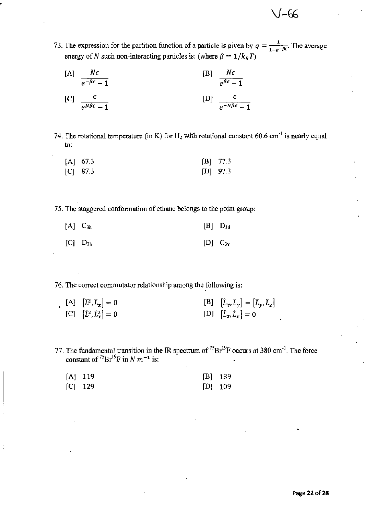$\vee$ -66

73. The expression for the partition function of a particle is given by  $q = \frac{1}{1 - e^{-\beta \epsilon}}$ . The average energy of N such non-interacting particles is: (where  $\beta = 1/k_B T$ )

$$
\begin{array}{ll}\n\text{[A]} & \frac{N\epsilon}{e^{-\beta\epsilon} - 1} \\
\text{[C]} & \frac{\epsilon}{e^{N\beta\epsilon} - 1}\n\end{array}\n\qquad\n\begin{array}{ll}\n\text{[B]} & \frac{N\epsilon}{e^{\beta\epsilon} - 1} \\
\text{[C]} & \frac{\epsilon}{e^{-N\beta\epsilon} - 1}\n\end{array}
$$

74. The rotational temperature (in K) for  $H_2$  with rotational constant 60.6 cm<sup>-1</sup> is nearly equal to:

| $[A]$ 67.3 | $[B]$ 77.3 |
|------------|------------|
| $[C]$ 87.3 | $[D]$ 97.3 |

75. The staggered conformation of ethane belongs to the pojnt group:

| $[A]$ $C_{3h}$ | $[B]$ $D_{3d}$ |  |
|----------------|----------------|--|
| $[C]$ $D_{3h}$ | $[D]$ $C_{3v}$ |  |

76. The correct commutator relationship among the following is:

- [A]  $[\hat{L}^2, \hat{L}_x] = 0$  $[C]$   $[\hat{L}^2, \hat{L}_x^2] = 0$  $[B]$   $\left[ \hat{L}_x, \hat{L}_y \right] = \left[ \hat{L}_y, \hat{L}_z \right]$  $[D]$   $[\hat{L}_z, \hat{L}_x] = 0$
- 77. The fundamental transition in the IR spectrum of  $^{75}Br^{19}F$  occurs at 380 cm<sup>-1</sup>. The force constant of <sup>75</sup> $Br^{19}F$  in N  $m^{-1}$  is:

| [A] 119 | $[B]$ 139 |
|---------|-----------|
| [C] 129 | $[D]$ 109 |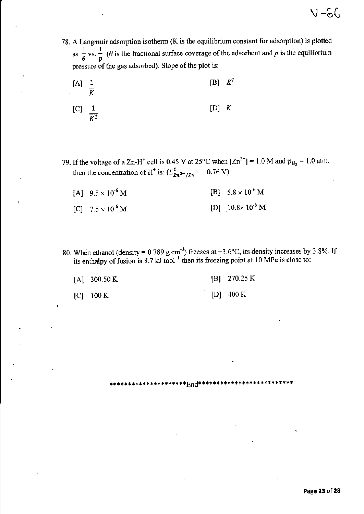78. A Langmuir adsorption isotherm (K is the equilibrium constant for adsorption) is plotted as  $\frac{1}{\theta}$  vs.  $\frac{1}{p}$  ( $\theta$  is the fractional surface coverage of the adsorbent and p is the equilibrium pressure of the gas adsorbed). Slope of the plot is:

![](_page_22_Figure_2.jpeg)

- 79. If the voltage of a Zn-H<sup>+</sup> cell is 0.45 V at 25°C when  $[Zn^{2+}]$  = 1.0 M and  $p_{H_2}$  = 1.0 atm, then the concentration of H<sup>+</sup> is:  $(E_{Zn^{2+}/Zn}^{0} = -0.76 \text{ V})$ 
	- [B]  $5.8 \times 10^{-6}$  M [A]  $9.5 \times 10^{-6}$  M [D]  $10.8 \times 10^{-6}$  M [C]  $7.5 \times 10^{-6}$  M
- 80. When ethanol (density = 0.789 g cm<sup>-3</sup>) freezes at -3.6°C, its density increases by 3.8%. If its enthalpy of fusion is 8.7 kJ mol<sup>-1</sup> then its freezing point at 10 MPa is close to:

\*End\*\*\*\*\*\*\*

| [A] $300.50 \text{ K}$ | $[B]$ 270.25 K |
|------------------------|----------------|
| $[C]$ 100 K            | $[D]$ 400 K    |